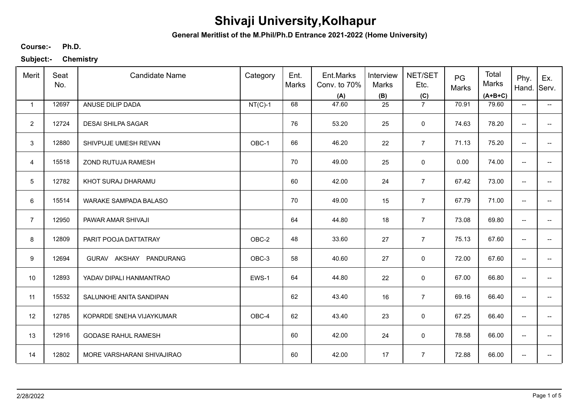**General Meritlist of the M.Phil/Ph.D Entrance 2021-2022 (Home University)**

**Ph.D. Course:-**

| Merit          | Seat<br>No. | <b>Candidate Name</b>      | Category  | Ent.<br>Marks | Ent.Marks<br>Conv. to 70%<br>(A) | Interview<br>Marks<br>(B) | NET/SET<br>Etc.<br>(C) | PG<br>Marks | Total<br>Marks<br>$(A+B+C)$ | Phy.<br>Hand.            | Ex.<br>Serv.             |
|----------------|-------------|----------------------------|-----------|---------------|----------------------------------|---------------------------|------------------------|-------------|-----------------------------|--------------------------|--------------------------|
| $\mathbf{1}$   | 12697       | ANUSE DILIP DADA           | $NT(C)-1$ | 68            | 47.60                            | 25                        | $\overline{7}$         | 70.91       | 79.60                       | $\overline{\phantom{a}}$ | $\overline{\phantom{a}}$ |
| $\overline{2}$ | 12724       | <b>DESAI SHILPA SAGAR</b>  |           | 76            | 53.20                            | 25                        | $\mathbf 0$            | 74.63       | 78.20                       | $\overline{\phantom{a}}$ |                          |
| 3              | 12880       | SHIVPUJE UMESH REVAN       | OBC-1     | 66            | 46.20                            | 22                        | $\overline{7}$         | 71.13       | 75.20                       | ÷                        |                          |
| $\overline{4}$ | 15518       | ZOND RUTUJA RAMESH         |           | 70            | 49.00                            | 25                        | 0                      | 0.00        | 74.00                       | $\overline{\phantom{a}}$ | --                       |
| 5              | 12782       | KHOT SURAJ DHARAMU         |           | 60            | 42.00                            | 24                        | $\overline{7}$         | 67.42       | 73.00                       | $\overline{\phantom{m}}$ | --                       |
| 6              | 15514       | WARAKE SAMPADA BALASO      |           | 70            | 49.00                            | 15                        | $\overline{7}$         | 67.79       | 71.00                       | $\overline{\phantom{m}}$ | --                       |
| $\overline{7}$ | 12950       | PAWAR AMAR SHIVAJI         |           | 64            | 44.80                            | 18                        | $\overline{7}$         | 73.08       | 69.80                       | $\overline{\phantom{m}}$ | --                       |
| 8              | 12809       | PARIT POOJA DATTATRAY      | OBC-2     | 48            | 33.60                            | 27                        | $\overline{7}$         | 75.13       | 67.60                       | $\overline{\phantom{m}}$ |                          |
| 9              | 12694       | GURAV AKSHAY PANDURANG     | OBC-3     | 58            | 40.60                            | 27                        | 0                      | 72.00       | 67.60                       | $\overline{\phantom{a}}$ |                          |
| 10             | 12893       | YADAV DIPALI HANMANTRAO    | EWS-1     | 64            | 44.80                            | 22                        | 0                      | 67.00       | 66.80                       | $\overline{\phantom{a}}$ |                          |
| 11             | 15532       | SALUNKHE ANITA SANDIPAN    |           | 62            | 43.40                            | 16                        | $\overline{7}$         | 69.16       | 66.40                       | $\overline{\phantom{a}}$ |                          |
| 12             | 12785       | KOPARDE SNEHA VIJAYKUMAR   | OBC-4     | 62            | 43.40                            | 23                        | 0                      | 67.25       | 66.40                       | $\overline{\phantom{a}}$ | --                       |
| 13             | 12916       | <b>GODASE RAHUL RAMESH</b> |           | 60            | 42.00                            | 24                        | $\mathbf 0$            | 78.58       | 66.00                       | $\overline{\phantom{a}}$ | $\overline{\phantom{a}}$ |
| 14             | 12802       | MORE VARSHARANI SHIVAJIRAO |           | 60            | 42.00                            | 17                        | $\overline{7}$         | 72.88       | 66.00                       | $\overline{\phantom{a}}$ | --                       |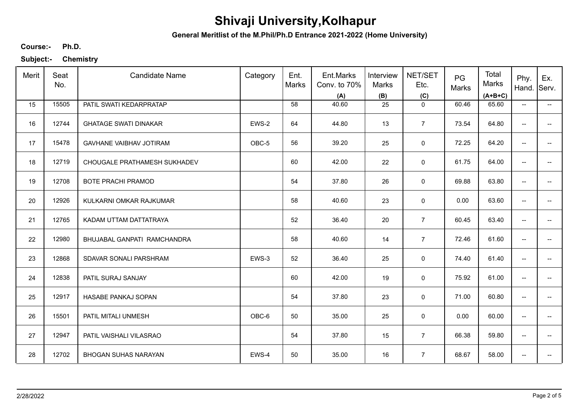**General Meritlist of the M.Phil/Ph.D Entrance 2021-2022 (Home University)**

**Ph.D. Course:-**

| Merit | Seat<br>No. | <b>Candidate Name</b>          | Category | Ent.<br>Marks | Ent.Marks<br>Conv. to 70%<br>(A) | Interview<br>Marks<br>(B) | NET/SET<br>Etc.<br>(C) | PG<br>Marks | Total<br>Marks<br>$(A+B+C)$ | Phy.<br>Hand.                       | Ex.<br>Serv.             |
|-------|-------------|--------------------------------|----------|---------------|----------------------------------|---------------------------|------------------------|-------------|-----------------------------|-------------------------------------|--------------------------|
| 15    | 15505       | PATIL SWATI KEDARPRATAP        |          | 58            | 40.60                            | 25                        | $\mathbf 0$            | 60.46       | 65.60                       | $\overline{\phantom{a}}$            | $\overline{\phantom{a}}$ |
| 16    | 12744       | <b>GHATAGE SWATI DINAKAR</b>   | EWS-2    | 64            | 44.80                            | 13                        | $\overline{7}$         | 73.54       | 64.80                       | $\overline{\phantom{a}}$            | $- -$                    |
| 17    | 15478       | <b>GAVHANE VAIBHAV JOTIRAM</b> | OBC-5    | 56            | 39.20                            | 25                        | $\mathbf 0$            | 72.25       | 64.20                       | $\overline{\phantom{a}}$            | $-$                      |
| 18    | 12719       | CHOUGALE PRATHAMESH SUKHADEV   |          | 60            | 42.00                            | 22                        | $\mathsf 0$            | 61.75       | 64.00                       | $\overline{\phantom{a}}$            | $\overline{\phantom{a}}$ |
| 19    | 12708       | <b>BOTE PRACHI PRAMOD</b>      |          | 54            | 37.80                            | 26                        | 0                      | 69.88       | 63.80                       | $\overline{\phantom{a}}$            | -−                       |
| 20    | 12926       | KULKARNI OMKAR RAJKUMAR        |          | 58            | 40.60                            | 23                        | $\mathbf 0$            | 0.00        | 63.60                       | $\overline{\phantom{a}}$            | $\overline{\phantom{a}}$ |
| 21    | 12765       | KADAM UTTAM DATTATRAYA         |          | 52            | 36.40                            | 20                        | $\overline{7}$         | 60.45       | 63.40                       | $\overline{\phantom{a}}$            | -−                       |
| 22    | 12980       | BHUJABAL GANPATI RAMCHANDRA    |          | 58            | 40.60                            | 14                        | $\overline{7}$         | 72.46       | 61.60                       | $\overline{\phantom{a}}$            | -−                       |
| 23    | 12868       | SDAVAR SONALI PARSHRAM         | EWS-3    | 52            | 36.40                            | 25                        | 0                      | 74.40       | 61.40                       | $\overline{\phantom{a}}$            | $-$                      |
| 24    | 12838       | PATIL SURAJ SANJAY             |          | 60            | 42.00                            | 19                        | $\mathbf 0$            | 75.92       | 61.00                       | $\hspace{0.05cm}$                   |                          |
| 25    | 12917       | HASABE PANKAJ SOPAN            |          | 54            | 37.80                            | 23                        | $\mathsf 0$            | 71.00       | 60.80                       | $\overline{\phantom{a}}$            | $\overline{\phantom{a}}$ |
| 26    | 15501       | PATIL MITALI UNMESH            | OBC-6    | 50            | 35.00                            | 25                        | $\mathbf 0$            | 0.00        | 60.00                       | $\overline{\phantom{m}}$            | -−                       |
| 27    | 12947       | PATIL VAISHALI VILASRAO        |          | 54            | 37.80                            | 15                        | $\overline{7}$         | 66.38       | 59.80                       | $\overline{\phantom{a}}$            | $\overline{\phantom{a}}$ |
| 28    | 12702       | <b>BHOGAN SUHAS NARAYAN</b>    | EWS-4    | 50            | 35.00                            | 16                        | $\overline{7}$         | 68.67       | 58.00                       | $\hspace{0.05cm}$ $\hspace{0.05cm}$ | --                       |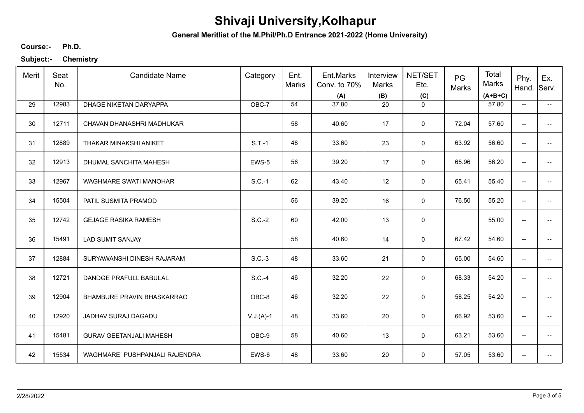**General Meritlist of the M.Phil/Ph.D Entrance 2021-2022 (Home University)**

**Ph.D. Course:-**

| Merit | Seat<br>No. | <b>Candidate Name</b>          | Category    | Ent.<br>Marks | Ent.Marks<br>Conv. to 70%<br>(A) | Interview<br><b>Marks</b><br>(B) | NET/SET<br>Etc.<br>(C) | PG<br>Marks | Total<br>Marks<br>$(A+B+C)$ | Phy.<br>Hand.                       | Ex.<br>Serv.             |
|-------|-------------|--------------------------------|-------------|---------------|----------------------------------|----------------------------------|------------------------|-------------|-----------------------------|-------------------------------------|--------------------------|
| 29    | 12983       | DHAGE NIKETAN DARYAPPA         | OBC-7       | 54            | 37.80                            | 20                               | $\mathsf 0$            |             | 57.80                       | $\overline{\phantom{a}}$            | --                       |
| 30    | 12711       | CHAVAN DHANASHRI MADHUKAR      |             | 58            | 40.60                            | 17                               | $\mathsf 0$            | 72.04       | 57.60                       | $\overline{\phantom{a}}$            |                          |
| 31    | 12889       | THAKAR MINAKSHI ANIKET         | $S.T.-1$    | 48            | 33.60                            | 23                               | 0                      | 63.92       | 56.60                       | $\overline{\phantom{a}}$            | $-$                      |
| 32    | 12913       | DHUMAL SANCHITA MAHESH         | EWS-5       | 56            | 39.20                            | 17                               | 0                      | 65.96       | 56.20                       | $\overline{\phantom{a}}$            |                          |
| 33    | 12967       | <b>WAGHMARE SWATI MANOHAR</b>  | $S.C.-1$    | 62            | 43.40                            | 12                               | $\mathbf 0$            | 65.41       | 55.40                       | $\overline{\phantom{a}}$            | -−                       |
| 34    | 15504       | PATIL SUSMITA PRAMOD           |             | 56            | 39.20                            | 16                               | 0                      | 76.50       | 55.20                       | $\overline{\phantom{a}}$            | -−                       |
| 35    | 12742       | <b>GEJAGE RASIKA RAMESH</b>    | $S.C.-2$    | 60            | 42.00                            | 13                               | 0                      |             | 55.00                       | $\overline{\phantom{a}}$            | --                       |
| 36    | 15491       | <b>LAD SUMIT SANJAY</b>        |             | 58            | 40.60                            | 14                               | 0                      | 67.42       | 54.60                       | $\overline{\phantom{a}}$            |                          |
| 37    | 12884       | SURYAWANSHI DINESH RAJARAM     | $S.C.-3$    | 48            | 33.60                            | 21                               | $\mathbf 0$            | 65.00       | 54.60                       | $\overline{\phantom{a}}$            |                          |
| 38    | 12721       | DANDGE PRAFULL BABULAL         | $S.C.-4$    | 46            | 32.20                            | 22                               | $\pmb{0}$              | 68.33       | 54.20                       | $\overline{\phantom{a}}$            |                          |
| 39    | 12904       | BHAMBURE PRAVIN BHASKARRAO     | OBC-8       | 46            | 32.20                            | 22                               | $\mathsf 0$            | 58.25       | 54.20                       | $\overline{\phantom{a}}$            | $\overline{\phantom{a}}$ |
| 40    | 12920       | JADHAV SURAJ DAGADU            | $V.J.(A)-1$ | 48            | 33.60                            | 20                               | 0                      | 66.92       | 53.60                       | $\overline{\phantom{m}}$            | --                       |
| 41    | 15481       | <b>GURAV GEETANJALI MAHESH</b> | OBC-9       | 58            | 40.60                            | 13                               | 0                      | 63.21       | 53.60                       | $\overline{\phantom{a}}$            | $\overline{\phantom{a}}$ |
| 42    | 15534       | WAGHMARE PUSHPANJALI RAJENDRA  | EWS-6       | 48            | 33.60                            | 20                               | $\mathbf 0$            | 57.05       | 53.60                       | $\hspace{0.05cm}$ $\hspace{0.05cm}$ | --                       |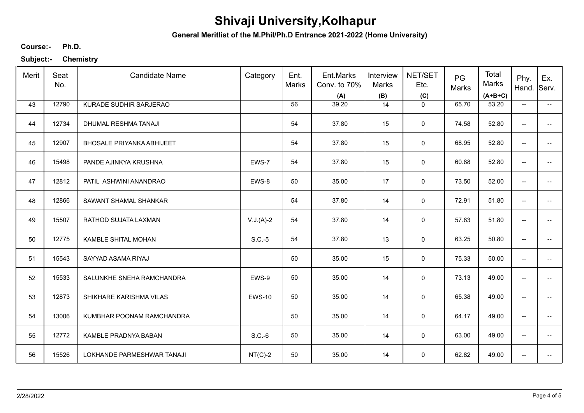**General Meritlist of the M.Phil/Ph.D Entrance 2021-2022 (Home University)**

**Ph.D. Course:-**

| Merit | Seat<br>No. | <b>Candidate Name</b>            | Category      | Ent.<br>Marks | Ent.Marks<br>Conv. to 70%<br>(A) | Interview<br>Marks<br>(B) | NET/SET<br>Etc.<br>(C) | PG<br>Marks | Total<br>Marks<br>$(A+B+C)$ | Phy.<br>Hand.                                     | Ex.<br>Serv.             |
|-------|-------------|----------------------------------|---------------|---------------|----------------------------------|---------------------------|------------------------|-------------|-----------------------------|---------------------------------------------------|--------------------------|
| 43    | 12790       | KURADE SUDHIR SARJERAO           |               | 56            | 39.20                            | 14                        | $\mathbf 0$            | 65.70       | 53.20                       | $\overline{\phantom{a}}$                          | $\overline{\phantom{a}}$ |
| 44    | 12734       | DHUMAL RESHMA TANAJI             |               | 54            | 37.80                            | 15                        | 0                      | 74.58       | 52.80                       | $\overline{\phantom{a}}$                          | $- -$                    |
| 45    | 12907       | <b>BHOSALE PRIYANKA ABHIJEET</b> |               | 54            | 37.80                            | 15                        | $\mathsf 0$            | 68.95       | 52.80                       | $\overline{\phantom{a}}$                          | $-$                      |
| 46    | 15498       | PANDE AJINKYA KRUSHNA            | EWS-7         | 54            | 37.80                            | 15                        | $\mathsf 0$            | 60.88       | 52.80                       | $\overline{\phantom{a}}$                          | $\overline{\phantom{a}}$ |
| 47    | 12812       | PATIL ASHWINI ANANDRAO           | EWS-8         | 50            | 35.00                            | 17                        | 0                      | 73.50       | 52.00                       | $\overline{\phantom{a}}$                          | -−                       |
| 48    | 12866       | SAWANT SHAMAL SHANKAR            |               | 54            | 37.80                            | 14                        | $\mathbf 0$            | 72.91       | 51.80                       | $\overline{\phantom{a}}$                          | $\overline{\phantom{a}}$ |
| 49    | 15507       | RATHOD SUJATA LAXMAN             | $V.J.(A)-2$   | 54            | 37.80                            | 14                        | 0                      | 57.83       | 51.80                       | $\overline{\phantom{a}}$                          | -−                       |
| 50    | 12775       | KAMBLE SHITAL MOHAN              | $S.C.-5$      | 54            | 37.80                            | 13                        | $\mathsf 0$            | 63.25       | 50.80                       | $\overline{\phantom{a}}$                          | -−                       |
| 51    | 15543       | SAYYAD ASAMA RIYAJ               |               | 50            | 35.00                            | 15                        | 0                      | 75.33       | 50.00                       | $\overline{\phantom{a}}$                          | -−                       |
| 52    | 15533       | SALUNKHE SNEHA RAMCHANDRA        | EWS-9         | 50            | 35.00                            | 14                        | $\mathsf 0$            | 73.13       | 49.00                       | $\hspace{0.05cm}-\hspace{0.05cm}-\hspace{0.05cm}$ | $-$                      |
| 53    | 12873       | SHIKHARE KARISHMA VILAS          | <b>EWS-10</b> | 50            | 35.00                            | 14                        | $\mathsf 0$            | 65.38       | 49.00                       | $\overline{\phantom{a}}$                          | $\overline{\phantom{a}}$ |
| 54    | 13006       | KUMBHAR POONAM RAMCHANDRA        |               | 50            | 35.00                            | 14                        | $\mathbf 0$            | 64.17       | 49.00                       | $\overline{\phantom{m}}$                          | -−                       |
| 55    | 12772       | KAMBLE PRADNYA BABAN             | $S.C.-6$      | 50            | 35.00                            | 14                        | 0                      | 63.00       | 49.00                       | $\overline{\phantom{a}}$                          | $\overline{\phantom{a}}$ |
| 56    | 15526       | LOKHANDE PARMESHWAR TANAJI       | $NT(C)-2$     | 50            | 35.00                            | 14                        | $\mathbf 0$            | 62.82       | 49.00                       | $\hspace{0.05cm}$ $\hspace{0.05cm}$               | --                       |